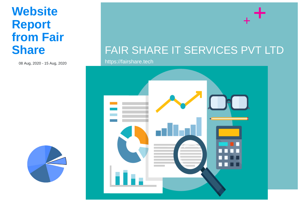# **Website Report from Fair Share**

08 Aug, 2020 - 15 Aug, 2020



https://fairshare.tech



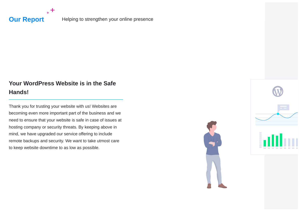

**Our Report** Helping to strengthen your online presence

# **Your WordPress Website is in the Safe Hands!**

Thank you for trusting your website with us! Websites are becoming even more important part of the business and we need to ensure that your website is safe in case of issues at hosting company or security threats. By keeping above in mind, we have upgraded our service offering to include remote backups and security. We want to take utmost care to keep website downtime to as low as possible.



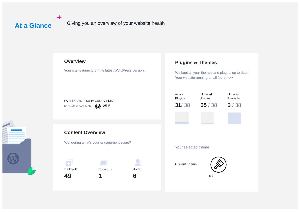**At a Glance** <sup>+</sub> T</sup> Giving you an overview of your website health

### **Overview**

Your site is running on the latest WordPress version.

### **Plugins & Themes**

We kept all your themes and plugins up to date! Your website running on all fours now.





## **Content Overview**

Wondering what's your engagement score?



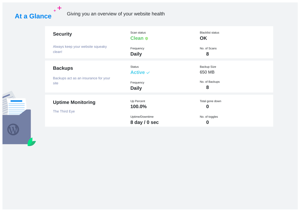

# At a Glance<sup>++</sup> Giving you an overview of your website health

| <b>Security</b>                                                | Scan status<br><b>Clean o</b>                               | <b>Blacklist status</b><br><b>OK</b>                              |
|----------------------------------------------------------------|-------------------------------------------------------------|-------------------------------------------------------------------|
| Always keep your website squeaky<br>clean!                     | Frequency<br><b>Daily</b>                                   | No. of Scans<br>8                                                 |
| <b>Backups</b><br>Backups act as an insurance for your<br>site | <b>Status</b><br>Active $\sim$<br>Frequency<br><b>Daily</b> | <b>Backup Size</b><br>650 MB<br>No. of Backups<br>8               |
| <b>Uptime Monitoring</b><br>The Third Eye                      | Up Percent<br>100.0%<br>Uptime/Downtime<br>8 day / 0 sec    | Total gone down<br>$\boldsymbol{0}$<br>No. of toggles<br>$\bf{0}$ |

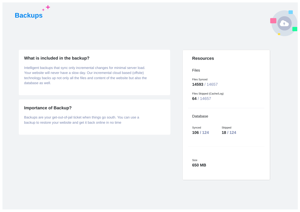



#### **What is included in the backup?**

Intelligent backups that sync only incremental changes for minimal server load. Your website will never have a slow day. Our incremental cloud based (offsite) technology backs up not only all the files and content of the website but also the database as well.

#### **Importance of Backup?**

Backups are your get-out-of-jail ticket when things go south. You can use a backup to restore your website and get it back online in no time

#### **Resources**

Files

Files Synced **14593** / 14657

Files Skipped (Cache/Log) **64** / 14657

#### Database

Synced **106 / 124**

Skipped **18 / 124**

Size **650 MB**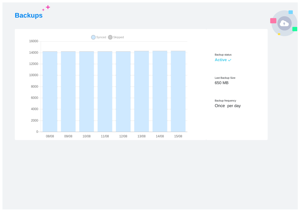$_{+}+$ **Backups**



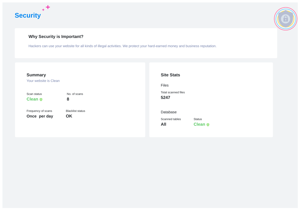



## **Why Security is Important?**

Hackers can use your website for all kinds of illegal activities. We protect your hard-earned money and business reputation.

| <b>Summary</b><br>Your website is Clean |                               | <b>Site Stats</b><br>Files                                           |
|-----------------------------------------|-------------------------------|----------------------------------------------------------------------|
| Scan status<br>Clean o                  | No. of scans<br>8             | Total scanned files<br>5247                                          |
| Frequency of scans<br>Once per day      | <b>Blacklist status</b><br>OK | Database<br>Scanned tables<br><b>Status</b><br>All<br><b>Clean o</b> |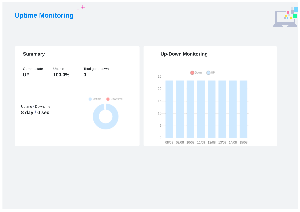**Uptime Monitoring**





 $+$ <sup>+</sup>

# **Up-Down Monitoring**

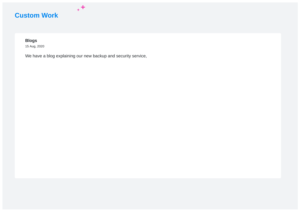

## **Blogs**

15 Aug, 2020

We have a blog explaining our new backup and security service,

 $+$